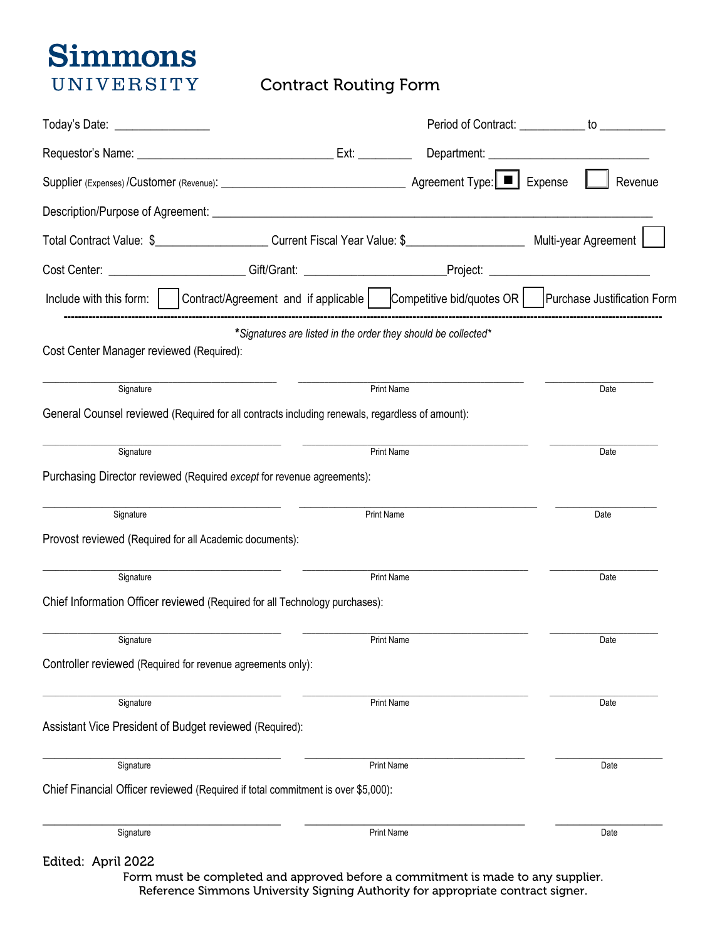# **Simmons** UNIVERSITY

## Contract Routing Form

|                                                                                                                          |                                                                                                                             |                                                                                  | Period of Contract: ____________ to ___________ |
|--------------------------------------------------------------------------------------------------------------------------|-----------------------------------------------------------------------------------------------------------------------------|----------------------------------------------------------------------------------|-------------------------------------------------|
|                                                                                                                          |                                                                                                                             |                                                                                  |                                                 |
|                                                                                                                          |                                                                                                                             |                                                                                  | Revenue                                         |
|                                                                                                                          |                                                                                                                             |                                                                                  |                                                 |
|                                                                                                                          | Total Contract Value: \$________________________Current Fiscal Year Value: \$_________________________ Multi-year Agreement |                                                                                  |                                                 |
| Cost Center: _______________________Gift/Grant: ___________________________Project: __________________________           |                                                                                                                             |                                                                                  |                                                 |
| Include with this form:   Contract/Agreement and if applicable   Competitive bid/quotes OR   Purchase Justification Form |                                                                                                                             |                                                                                  |                                                 |
| Cost Center Manager reviewed (Required):                                                                                 | *Signatures are listed in the order they should be collected*                                                               |                                                                                  |                                                 |
| Signature                                                                                                                |                                                                                                                             | <b>Print Name</b>                                                                | Date                                            |
| General Counsel reviewed (Required for all contracts including renewals, regardless of amount):                          |                                                                                                                             |                                                                                  |                                                 |
| Signature                                                                                                                |                                                                                                                             | <b>Print Name</b>                                                                | Date                                            |
| Purchasing Director reviewed (Required except for revenue agreements):                                                   |                                                                                                                             |                                                                                  |                                                 |
|                                                                                                                          |                                                                                                                             |                                                                                  |                                                 |
| Signature<br>Provost reviewed (Required for all Academic documents):                                                     |                                                                                                                             | <b>Print Name</b>                                                                | Date                                            |
|                                                                                                                          |                                                                                                                             |                                                                                  |                                                 |
| Signature                                                                                                                |                                                                                                                             | <b>Print Name</b>                                                                | Date                                            |
| Chief Information Officer reviewed (Required for all Technology purchases):                                              |                                                                                                                             |                                                                                  |                                                 |
| Signature                                                                                                                |                                                                                                                             | <b>Print Name</b>                                                                | Date                                            |
| Controller reviewed (Required for revenue agreements only):                                                              |                                                                                                                             |                                                                                  |                                                 |
| Signature                                                                                                                |                                                                                                                             | <b>Print Name</b>                                                                | Date                                            |
| Assistant Vice President of Budget reviewed (Required):                                                                  |                                                                                                                             |                                                                                  |                                                 |
| Signature                                                                                                                |                                                                                                                             | <b>Print Name</b>                                                                | Date                                            |
| Chief Financial Officer reviewed (Required if total commitment is over \$5,000):                                         |                                                                                                                             |                                                                                  |                                                 |
| Signature                                                                                                                |                                                                                                                             | <b>Print Name</b>                                                                | Date                                            |
| Edited: April 2022                                                                                                       |                                                                                                                             | Form must be completed and approved before a commitment is made to any supplier. |                                                 |

Reference Simmons University Signing Authority for appropriate contract signer.